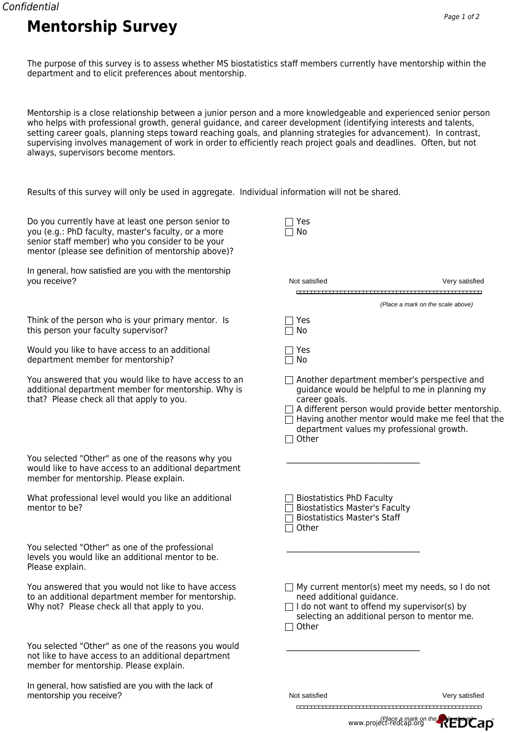The purpose of this survey is to assess whether MS biostatistics staff members currently have mentorship within the department and to elicit preferences about mentorship.

Mentorship is a close relationship between a junior person and a more knowledgeable and experienced senior person who helps with professional growth, general guidance, and career development (identifying interests and talents, setting career goals, planning steps toward reaching goals, and planning strategies for advancement). In contrast, supervising involves management of work in order to efficiently reach project goals and deadlines. Often, but not always, supervisors become mentors.

Results of this survey will only be used in aggregate. Individual information will not be shared.

| Do you currently have at least one person senior to<br>you (e.g.: PhD faculty, master's faculty, or a more<br>senior staff member) who you consider to be your<br>mentor (please see definition of mentorship above)? | Yes<br>No                                                                                                                                                                                                                                                                                                             |                |
|-----------------------------------------------------------------------------------------------------------------------------------------------------------------------------------------------------------------------|-----------------------------------------------------------------------------------------------------------------------------------------------------------------------------------------------------------------------------------------------------------------------------------------------------------------------|----------------|
| In general, how satisfied are you with the mentorship<br>you receive?                                                                                                                                                 | Not satisfied<br>(Place a mark on the scale above)                                                                                                                                                                                                                                                                    | Very satisfied |
| Think of the person who is your primary mentor. Is<br>this person your faculty supervisor?                                                                                                                            | Yes<br>No<br>$\Box$                                                                                                                                                                                                                                                                                                   |                |
| Would you like to have access to an additional<br>department member for mentorship?                                                                                                                                   | □ Yes<br>$\Box$ No                                                                                                                                                                                                                                                                                                    |                |
| You answered that you would like to have access to an<br>additional department member for mentorship. Why is<br>that? Please check all that apply to you.                                                             | $\Box$ Another department member's perspective and<br>guidance would be helpful to me in planning my<br>career goals.<br>$\Box$ A different person would provide better mentorship.<br>$\Box$ Having another mentor would make me feel that the<br>department values my professional growth.<br>Other<br>$\mathsf{I}$ |                |
| You selected "Other" as one of the reasons why you<br>would like to have access to an additional department<br>member for mentorship. Please explain.                                                                 |                                                                                                                                                                                                                                                                                                                       |                |
| What professional level would you like an additional<br>mentor to be?                                                                                                                                                 | <b>Biostatistics PhD Faculty</b><br><b>Biostatistics Master's Faculty</b><br><b>Biostatistics Master's Staff</b><br>Other<br>$\blacksquare$                                                                                                                                                                           |                |
| You selected "Other" as one of the professional<br>levels you would like an additional mentor to be.<br>Please explain.                                                                                               |                                                                                                                                                                                                                                                                                                                       |                |
| You answered that you would not like to have access<br>to an additional department member for mentorship.<br>Why not? Please check all that apply to you.                                                             | $\Box$ My current mentor(s) meet my needs, so I do not<br>need additional guidance.<br>$\Box$ I do not want to offend my supervisor(s) by<br>selecting an additional person to mentor me.<br>$\Box$ Other                                                                                                             |                |
| You selected "Other" as one of the reasons you would<br>not like to have access to an additional department<br>member for mentorship. Please explain.                                                                 |                                                                                                                                                                                                                                                                                                                       |                |
| In general, how satisfied are you with the lack of<br>mentorship you receive?                                                                                                                                         | Not satisfied                                                                                                                                                                                                                                                                                                         | Very satisfied |
| www.project-redcap.org the scale <b>EDCAD</b>                                                                                                                                                                         |                                                                                                                                                                                                                                                                                                                       |                |